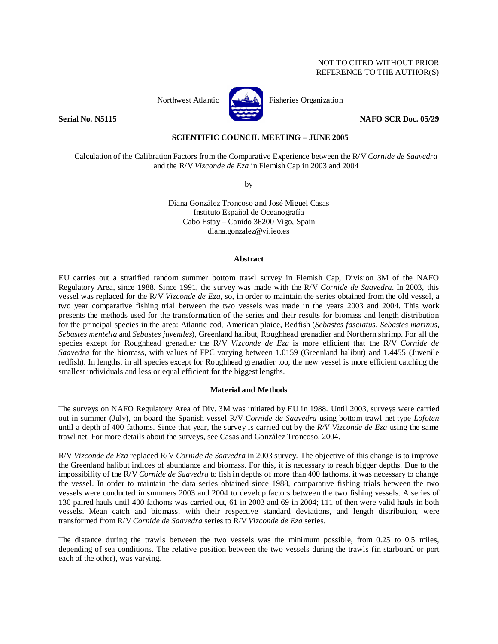# NOT TO CITED WITHOUT PRIOR REFERENCE TO THE AUTHOR(S)



Northwest Atlantic **Research Report Fisheries Organization** 

**Serial No. N5115** NAFO SCR Doc. 05/29

## **SCIENTIFIC COUNCIL MEETING – JUNE 2005**

Calculation of the Calibration Factors from the Comparative Experience between the R/V *Cornide de Saavedra* and the R/V *Vizconde de Eza* in Flemish Cap in 2003 and 2004

by

Diana González Troncoso and José Miguel Casas Instituto Español de Oceanografía Cabo Estay – Canido 36200 Vigo, Spain diana.gonzalez@vi.ieo.es

### **Abstract**

EU carries out a stratified random summer bottom trawl survey in Flemish Cap, Division 3M of the NAFO Regulatory Area, since 1988. Since 1991, the survey was made with the R/V *Cornide de Saavedra*. In 2003, this vessel was replaced for the R/V *Vizconde de Eza*, so, in order to maintain the series obtained from the old vessel, a two year comparative fishing trial between the two vessels was made in the years 2003 and 2004. This work presents the methods used for the transformation of the series and their results for biomass and length distribution for the principal species in the area: Atlantic cod, American plaice, Redfish (*Sebastes fasciatus*, *Sebastes marinus*, *Sebastes mentella* and *Sebastes juveniles*), Greenland halibut, Roughhead grenadier and Northern shrimp. For all the species except for Roughhead grenadier the R/V *Vizconde de Eza* is more efficient that the R/V *Cornide de Saavedra* for the biomass, with values of FPC varying between 1.0159 (Greenland halibut) and 1.4455 (Juvenile redfish). In lengths, in all species except for Roughhead grenadier too, the new vessel is more efficient catching the smallest individuals and less or equal efficient for the biggest lengths.

### **Material and Methods**

The surveys on NAFO Regulatory Area of Div. 3M was initiated by EU in 1988. Until 2003, surveys were carried out in summer (July), on board the Spanish vessel R/V *Cornide de Saavedra* using bottom trawl net type *Lofoten* until a depth of 400 fathoms. Since that year, the survey is carried out by the *R/V Vizconde de Eza* using the same trawl net. For more details about the surveys, see Casas and González Troncoso, 2004.

R/V *Vizconde de Eza* replaced R/V *Cornide de Saavedra* in 2003 survey. The objective of this change is to improve the Greenland halibut indices of abundance and biomass. For this, it is necessary to reach bigger depths. Due to the impossibility of the R/V *Cornide de Saavedra* to fish in depths of more than 400 fathoms, it was necessary to change the vessel. In order to maintain the data series obtained since 1988, comparative fishing trials between the two vessels were conducted in summers 2003 and 2004 to develop factors between the two fishing vessels. A series of 130 paired hauls until 400 fathoms was carried out, 61 in 2003 and 69 in 2004; 111 of then were valid hauls in both vessels. Mean catch and biomass, with their respective standard deviations, and length distribution, were transformed from R/V *Cornide de Saavedra* series to R/V *Vizconde de Eza* series.

The distance during the trawls between the two vessels was the minimum possible, from 0.25 to 0.5 miles, depending of sea conditions. The relative position between the two vessels during the trawls (in starboard or port each of the other), was varying.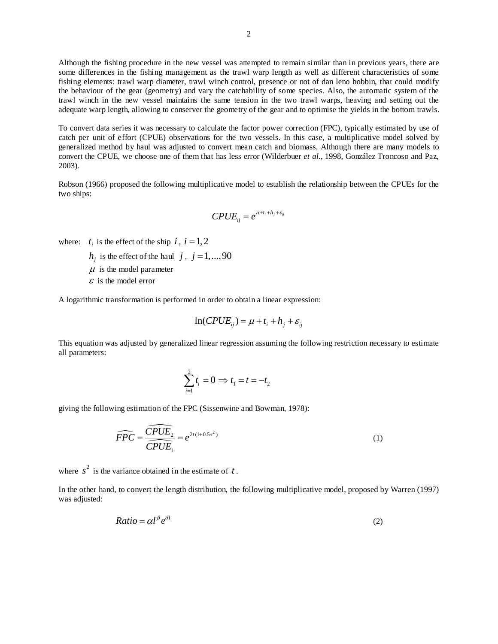Although the fishing procedure in the new vessel was attempted to remain similar than in previous years, there are some differences in the fishing management as the trawl warp length as well as different characteristics of some fishing elements: trawl warp diameter, trawl winch control, presence or not of dan leno bobbin, that could modify the behaviour of the gear (geometry) and vary the catchability of some species. Also, the automatic system of the trawl winch in the new vessel maintains the same tension in the two trawl warps, heaving and setting out the adequate warp length, allowing to conserver the geometry of the gear and to optimise the yields in the bottom trawls.

To convert data series it was necessary to calculate the factor power correction (FPC), typically estimated by use of catch per unit of effort (CPUE) observations for the two vessels. In this case, a multiplicative model solved by generalized method by haul was adjusted to convert mean catch and biomass. Although there are many models to convert the CPUE, we choose one of them that has less error (Wilderbuer *et al.*, 1998, González Troncoso and Paz, 2003).

Robson (1966) proposed the following multiplicative model to establish the relationship between the CPUEs for the two ships:

$$
CPUE_{ij} = e^{\mu + t_i + h_j + \varepsilon_{ij}}
$$

where:  $t_i$  is the effect of the ship  $i$ ,  $i = 1, 2$ 

 $h_i$  is the effect of the haul *j*, *j* = 1,...,90

 $\mu$  is the model parameter

 $\epsilon$  is the model error

A logarithmic transformation is performed in order to obtain a linear expression:

$$
\ln(CPUE_{ij}) = \mu + t_i + h_j + \varepsilon_{ij}
$$

This equation was adjusted by generalized linear regression assuming the following restriction necessary to estimate all parameters:

$$
\sum_{i=1}^{2} t_i = 0 \Rightarrow t_1 = t = -t_2
$$

giving the following estimation of the FPC (Sissenwine and Bowman, 1978):

$$
\widehat{FPC} = \frac{\widehat{CPUE}_2}{\widehat{CPUE}_1} = e^{2t(1+0.5s^2)}
$$
\n(1)

where  $s^2$  is the variance obtained in the estimate of  $t$ .

In the other hand, to convert the length distribution, the following multiplicative model, proposed by Warren (1997) was adjusted:

$$
Ratio = \alpha l^{\beta} e^{\delta l} \tag{2}
$$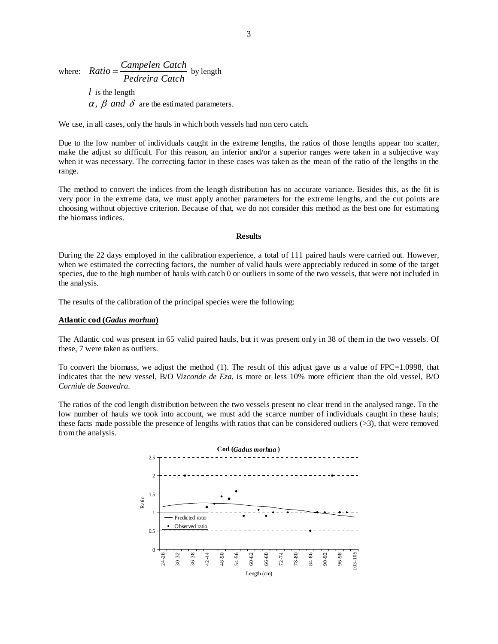where:  $Ratio = \frac{Campelen Catch}{Pedreira Catch}$  by length *l* is the length

 $\alpha$ ,  $\beta$  and  $\delta$  are the estimated parameters.

We use, in all cases, only the hauls in which both vessels had non cero catch.

Due to the low number of individuals caught in the extreme lengths, the ratios of those lengths appear too scatter, make the adjust so difficult. For this reason, an inferior and/or a superior ranges were taken in a subjective way when it was necessary. The correcting factor in these cases was taken as the mean of the ratio of the lengths in the range.

The method to convert the indices from the length distribution has no accurate variance. Besides this, as the fit is very poor in the extreme data, we must apply another parameters for the extreme lengths, and the cut points are choosing without objective criterion. Because of that, we do not consider this method as the best one for estimating the biomass indices.

## **Results**

During the 22 days employed in the calibration experience, a total of 111 paired hauls were carried out. However, when we estimated the correcting factors, the number of valid hauls were appreciably reduced in some of the target species, due to the high number of hauls with catch 0 or outliers in some of the two vessels, that were not included in the analysis.

The results of the calibration of the principal species were the following:

#### **Atlantic cod (***Gadus morhua***)**

The Atlantic cod was present in 65 valid paired hauls, but it was present only in 38 of them in the two vessels. Of these, 7 were taken as outliers.

To convert the biomass, we adjust the method (1). The result of this adjust gave us a value of FPC=1.0998, that indicates that the new vessel, B/O *Vizconde de Eza,* is more or less 10% more efficient than the old vessel, B/O *Cornide de Saavedra*.

The ratios of the cod length distribution between the two vessels present no clear trend in the analysed range. To the low number of hauls we took into account, we must add the scarce number of individuals caught in these hauls; these facts made possible the presence of lengths with ratios that can be considered outliers (>3), that were removed from the analysis.

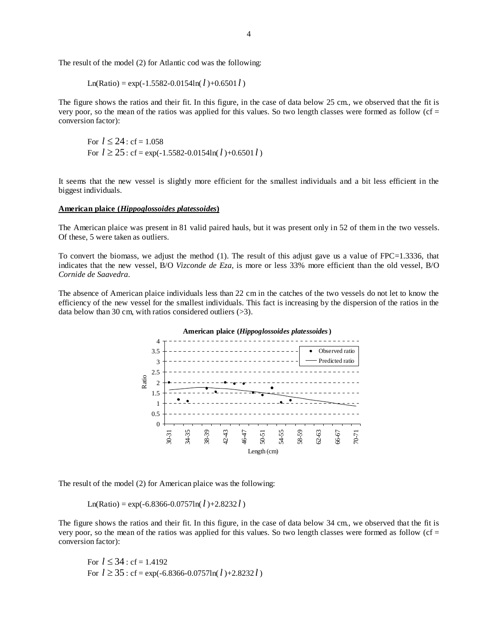The result of the model (2) for Atlantic cod was the following:

Ln(Ratio) = exp(-1.5582-0.0154ln(
$$
l
$$
)+0.6501 $l$ )

The figure shows the ratios and their fit. In this figure, in the case of data below 25 cm., we observed that the fit is very poor, so the mean of the ratios was applied for this values. So two length classes were formed as follow (cf = conversion factor):

For 
$$
l \le 24
$$
: cf = 1.058  
For  $l \ge 25$ : cf = exp(-1.5582-0.0154ln( $l$ )+0.6501 $l$ )

It seems that the new vessel is slightly more efficient for the smallest individuals and a bit less efficient in the biggest individuals.

### **American plaice (***Hippoglossoides platessoides***)**

The American plaice was present in 81 valid paired hauls, but it was present only in 52 of them in the two vessels. Of these, 5 were taken as outliers.

To convert the biomass, we adjust the method (1). The result of this adjust gave us a value of FPC=1.3336, that indicates that the new vessel, B/O *Vizconde de Eza,* is more or less 33% more efficient than the old vessel, B/O *Cornide de Saavedra*.

The absence of American plaice individuals less than 22 cm in the catches of the two vessels do not let to know the efficiency of the new vessel for the smallest individuals. This fact is increasing by the dispersion of the ratios in the data below than 30 cm, with ratios considered outliers (>3).



The result of the model (2) for American plaice was the following:

 $Ln(Ratio) = exp(-6.8366 - 0.0757ln(l) + 2.8232l)$ 

The figure shows the ratios and their fit. In this figure, in the case of data below 34 cm., we observed that the fit is very poor, so the mean of the ratios was applied for this values. So two length classes were formed as follow (cf = conversion factor):

For 
$$
l \le 34
$$
: cf = 1.4192  
For  $l \ge 35$ : cf = exp(-6.8366-0.0757ln( $l$ )+2.8232 $l$ )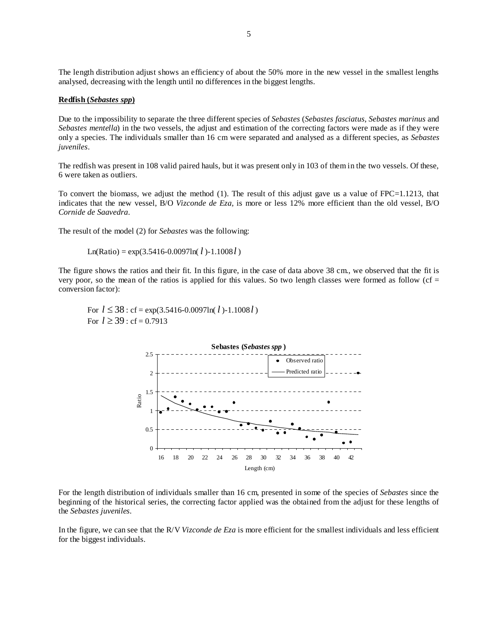The length distribution adjust shows an efficiency of about the 50% more in the new vessel in the smallest lengths analysed, decreasing with the length until no differences in the biggest lengths.

## **Redfish (***Sebastes spp***)**

Due to the impossibility to separate the three different species of *Sebastes* (*Sebastes fasciatus*, *Sebastes marinus* and *Sebastes mentella*) in the two vessels, the adjust and estimation of the correcting factors were made as if they were only a species. The individuals smaller than 16 cm were separated and analysed as a different species, as *Sebastes juveniles*.

The redfish was present in 108 valid paired hauls, but it was present only in 103 of them in the two vessels. Of these, 6 were taken as outliers.

To convert the biomass, we adjust the method (1). The result of this adjust gave us a value of FPC=1.1213, that indicates that the new vessel, B/O *Vizconde de Eza,* is more or less 12% more efficient than the old vessel, B/O *Cornide de Saavedra*.

The result of the model (2) for *Sebastes* was the following:

```
Ln(Ratio) = exp(3.5416-0.0097ln(l) - 1.1008l)
```
The figure shows the ratios and their fit. In this figure, in the case of data above 38 cm., we observed that the fit is very poor, so the mean of the ratios is applied for this values. So two length classes were formed as follow (cf  $=$ conversion factor):

For  $l \le 38$ : cf = exp(3.5416-0.0097ln( $l$ )-1.1008 $l$ ) For  $l \ge 39$ : cf = 0.7913



For the length distribution of individuals smaller than 16 cm, presented in some of the species of *Sebastes* since the beginning of the historical series, the correcting factor applied was the obtained from the adjust for these lengths of the *Sebastes juveniles*.

In the figure, we can see that the R/V *Vizconde de Eza* is more efficient for the smallest individuals and less efficient for the biggest individuals.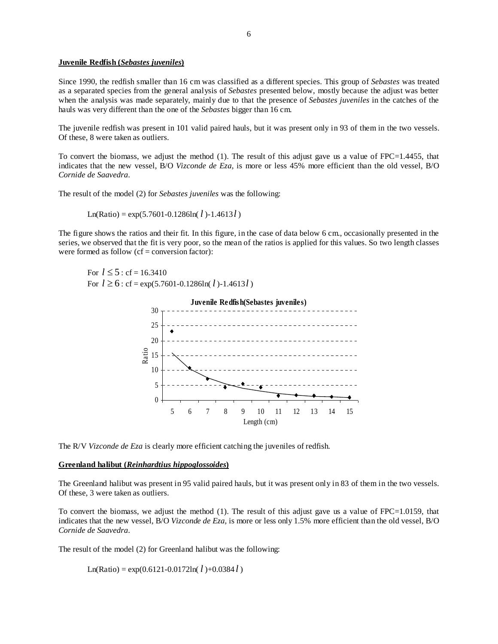## **Juvenile Redfish (***Sebastes juveniles***)**

Since 1990, the redfish smaller than 16 cm was classified as a different species. This group of *Sebastes* was treated as a separated species from the general analysis of *Sebastes* presented below, mostly because the adjust was better when the analysis was made separately, mainly due to that the presence of *Sebastes juveniles* in the catches of the hauls was very different than the one of the *Sebastes* bigger than 16 cm.

The juvenile redfish was present in 101 valid paired hauls, but it was present only in 93 of them in the two vessels. Of these, 8 were taken as outliers.

To convert the biomass, we adjust the method (1). The result of this adjust gave us a value of FPC=1.4455, that indicates that the new vessel, B/O *Vizconde de Eza,* is more or less 45% more efficient than the old vessel, B/O *Cornide de Saavedra*.

The result of the model (2) for *Sebastes juveniles* was the following:

Ln(Ratio) = 
$$
exp(5.7601 - 0.1286ln(l) - 1.4613l)
$$

The figure shows the ratios and their fit. In this figure, in the case of data below 6 cm., occasionally presented in the series, we observed that the fit is very poor, so the mean of the ratios is applied for this values. So two length classes were formed as follow  $(cf = conversion factor)$ :

For  $l \le 5$ : cf = 16.3410 For  $l \ge 6$ : cf = exp(5.7601-0.1286ln( $l$ )-1.4613 $l$ )



The R/V *Vizconde de Eza* is clearly more efficient catching the juveniles of redfish.

# **Greenland halibut (***Reinhardtius hippoglossoides***)**

The Greenland halibut was present in 95 valid paired hauls, but it was present only in 83 of them in the two vessels. Of these, 3 were taken as outliers.

To convert the biomass, we adjust the method (1). The result of this adjust gave us a value of FPC=1.0159, that indicates that the new vessel, B/O *Vizconde de Eza,* is more or less only 1.5% more efficient than the old vessel, B/O *Cornide de Saavedra*.

The result of the model (2) for Greenland halibut was the following:

 $Ln(Ratio) = exp(0.6121 - 0.0172ln(l) + 0.0384 l)$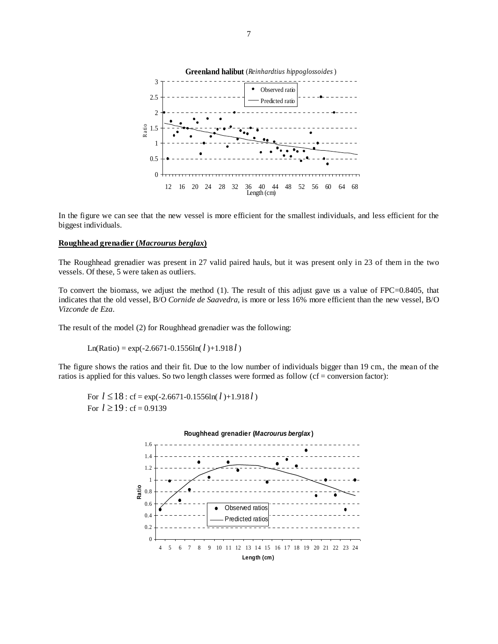

In the figure we can see that the new vessel is more efficient for the smallest individuals, and less efficient for the biggest individuals.

## **Roughhead grenadier (***Macrourus berglax***)**

The Roughhead grenadier was present in 27 valid paired hauls, but it was present only in 23 of them in the two vessels. Of these, 5 were taken as outliers.

To convert the biomass, we adjust the method (1). The result of this adjust gave us a value of FPC=0.8405, that indicates that the old vessel, B/O *Cornide de Saavedra,* is more or less 16% more efficient than the new vessel, B/O *Vizconde de Eza*.

The result of the model (2) for Roughhead grenadier was the following:

 $Ln(Ratio) = exp(-2.6671 - 0.1556ln(l) + 1.918l)$ 

The figure shows the ratios and their fit. Due to the low number of individuals bigger than 19 cm., the mean of the ratios is applied for this values. So two length classes were formed as follow  $(cf = conversion factor)$ :

For  $l \le 18$ : cf = exp(-2.6671-0.1556ln( $l$ )+1.918 $l$ ) For  $l \ge 19$  : cf = 0.9139